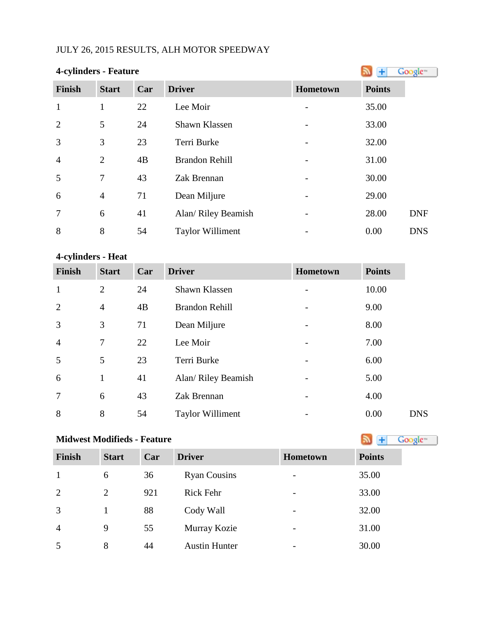## JULY 26, 2015 RESULTS, ALH MOTOR SPEEDWAY

| 4-cylinders - Feature |                | Google™ |                         |                 |               |            |
|-----------------------|----------------|---------|-------------------------|-----------------|---------------|------------|
| <b>Finish</b>         | <b>Start</b>   | Car     | <b>Driver</b>           | <b>Hometown</b> | <b>Points</b> |            |
| $\mathbf{1}$          | 1              | 22      | Lee Moir                |                 | 35.00         |            |
| $\overline{2}$        | 5              | 24      | Shawn Klassen           |                 | 33.00         |            |
| 3                     | 3              | 23      | Terri Burke             |                 | 32.00         |            |
| $\overline{4}$        | $\overline{2}$ | 4B      | <b>Brandon Rehill</b>   |                 | 31.00         |            |
| 5                     | 7              | 43      | Zak Brennan             |                 | 30.00         |            |
| 6                     | $\overline{4}$ | 71      | Dean Miljure            |                 | 29.00         |            |
| $\overline{7}$        | 6              | 41      | Alan/ Riley Beamish     |                 | 28.00         | <b>DNF</b> |
| 8                     | 8              | 54      | <b>Taylor Williment</b> |                 | 0.00          | <b>DNS</b> |

### **4-cylinders - Heat**

| 4-cylinders - Heat |                |     |                         |          |               |  |  |  |
|--------------------|----------------|-----|-------------------------|----------|---------------|--|--|--|
| <b>Finish</b>      | <b>Start</b>   | Car | <b>Driver</b>           | Hometown | <b>Points</b> |  |  |  |
| 1                  | $\overline{2}$ | 24  | Shawn Klassen           |          | 10.00         |  |  |  |
| $\overline{2}$     | $\overline{4}$ | 4B  | <b>Brandon Rehill</b>   |          | 9.00          |  |  |  |
| 3                  | 3              | 71  | Dean Miljure            |          | 8.00          |  |  |  |
| $\overline{4}$     | 7              | 22  | Lee Moir                |          | 7.00          |  |  |  |
| 5                  | 5              | 23  | Terri Burke             |          | 6.00          |  |  |  |
| 6                  | 1              | 41  | Alan/ Riley Beamish     |          | 5.00          |  |  |  |
| $\overline{7}$     | 6              | 43  | Zak Brennan             |          | 4.00          |  |  |  |
| 8                  | 8              | 54  | <b>Taylor Williment</b> |          | 0.00          |  |  |  |

# **MidwestModifieds - Feature**

| <b>Finish</b>  | <b>Start</b> | Car | <b>Driver</b>        | <b>Hometown</b>          | <b>Points</b> |
|----------------|--------------|-----|----------------------|--------------------------|---------------|
|                | 6            | 36  | <b>Ryan Cousins</b>  | $\overline{\phantom{a}}$ | 35.00         |
| 2              | 2            | 921 | <b>Rick Fehr</b>     | $\overline{\phantom{a}}$ | 33.00         |
| 3              |              | 88  | Cody Wall            |                          | 32.00         |
| $\overline{4}$ | 9            | 55  | Murray Kozie         | -                        | 31.00         |
| 5              | 8            | 44  | <b>Austin Hunter</b> | -                        | 30.00         |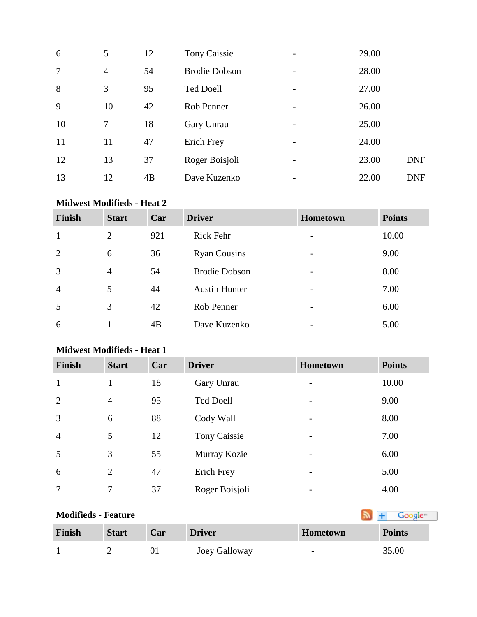| 6              | 5              | 12 | <b>Tony Caissie</b>  |   | 29.00 |            |
|----------------|----------------|----|----------------------|---|-------|------------|
| $\overline{7}$ | $\overline{4}$ | 54 | <b>Brodie Dobson</b> |   | 28.00 |            |
| 8              | 3              | 95 | <b>Ted Doell</b>     | - | 27.00 |            |
| 9              | 10             | 42 | Rob Penner           |   | 26.00 |            |
| 10             | 7              | 18 | Gary Unrau           |   | 25.00 |            |
| 11             | 11             | 47 | Erich Frey           | - | 24.00 |            |
| 12             | 13             | 37 | Roger Boisjoli       |   | 23.00 | <b>DNF</b> |
| 13             | 12             | 4B | Dave Kuzenko         |   | 22.00 | <b>DNF</b> |

#### **Midwest Modifieds - Heat 2**

| <b>Finish</b>  | <b>Start</b>   | Car | <b>Driver</b>        | <b>Hometown</b>          | <b>Points</b> |
|----------------|----------------|-----|----------------------|--------------------------|---------------|
| 1              | 2              | 921 | <b>Rick Fehr</b>     | $\overline{\phantom{0}}$ | 10.00         |
| 2              | 6              | 36  | <b>Ryan Cousins</b>  | $\overline{\phantom{a}}$ | 9.00          |
| 3              | $\overline{4}$ | 54  | <b>Brodie Dobson</b> | $\overline{\phantom{0}}$ | 8.00          |
| $\overline{4}$ | 5              | 44  | <b>Austin Hunter</b> | $\overline{\phantom{0}}$ | 7.00          |
| 5              | 3              | 42  | Rob Penner           | $\overline{\phantom{0}}$ | 6.00          |
| 6              |                | 4B  | Dave Kuzenko         | $\overline{\phantom{a}}$ | 5.00          |

#### **Midwest Modifieds - Heat 1**

| <b>Finish</b>  | <b>Start</b>   | Car | <b>Driver</b>    | <b>Hometown</b>          | <b>Points</b> |
|----------------|----------------|-----|------------------|--------------------------|---------------|
| $\mathbf{1}$   | 1              | 18  | Gary Unrau       |                          | 10.00         |
| 2              | $\overline{4}$ | 95  | <b>Ted Doell</b> |                          | 9.00          |
| 3              | 6              | 88  | Cody Wall        | $\overline{\phantom{0}}$ | 8.00          |
| $\overline{4}$ | 5              | 12  | Tony Caissie     |                          | 7.00          |
| 5              | 3              | 55  | Murray Kozie     |                          | 6.00          |
| 6              | $\overline{2}$ | 47  | Erich Frey       | $\overline{\phantom{0}}$ | 5.00          |
|                | 7              | 37  | Roger Boisjoli   |                          | 4.00          |

## **Modifieds - Feature**

| Finish | <b>Start</b> | Car | <b>Driver</b> | Hometown                 | <b>Points</b> |
|--------|--------------|-----|---------------|--------------------------|---------------|
|        |              |     | Joey Galloway | $\overline{\phantom{0}}$ | 35.00         |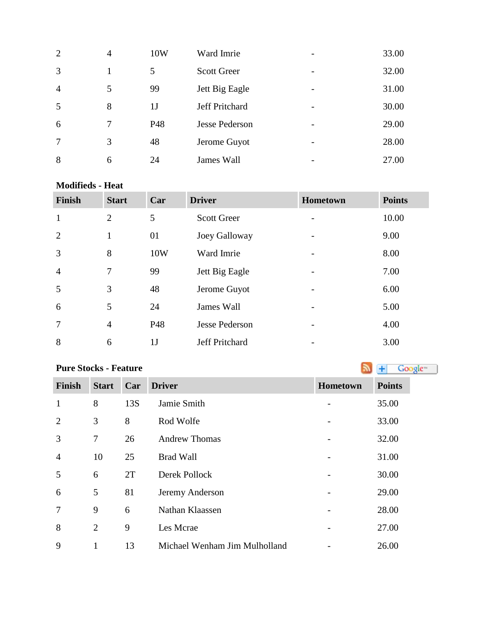| $\overline{2}$ | 4 | 10W            | Ward Imrie            | $\overline{\phantom{a}}$ | 33.00 |
|----------------|---|----------------|-----------------------|--------------------------|-------|
| 3              |   | 5              | <b>Scott Greer</b>    | $\overline{\phantom{a}}$ | 32.00 |
| $\overline{4}$ | 5 | 99             | Jett Big Eagle        | $\overline{\phantom{a}}$ | 31.00 |
| 5              | 8 | 1 <sub>J</sub> | <b>Jeff Pritchard</b> | $\overline{\phantom{a}}$ | 30.00 |
| 6              |   | P48            | <b>Jesse Pederson</b> | $\overline{\phantom{a}}$ | 29.00 |
| 7              | 3 | 48             | Jerome Guyot          | $\overline{\phantom{a}}$ | 28.00 |
| 8              | 6 | 24             | James Wall            |                          | 27.00 |

#### **Modifieds - Heat**

| <b>Finish</b>  | <b>Start</b>   | Car            | <b>Driver</b>         | Hometown | <b>Points</b> |
|----------------|----------------|----------------|-----------------------|----------|---------------|
| $\mathbf{1}$   | 2              | 5              | <b>Scott Greer</b>    |          | 10.00         |
| 2              | $\mathbf{1}$   | 01             | Joey Galloway         |          | 9.00          |
| 3              | 8              | 10W            | Ward Imrie            |          | 8.00          |
| $\overline{4}$ | $\tau$         | 99             | Jett Big Eagle        |          | 7.00          |
| 5              | 3              | 48             | Jerome Guyot          |          | 6.00          |
| 6              | 5              | 24             | James Wall            |          | 5.00          |
| $\overline{7}$ | $\overline{4}$ | P48            | <b>Jesse Pederson</b> |          | 4.00          |
| 8              | 6              | 1 <sub>J</sub> | Jeff Pritchard        |          | 3.00          |

## **PureStocks - Feature Algebra 2019 Constant 1 Constant 1 Constant 1 Constant 1 Constant 1 Constant 1 Constant 1 Constant 1 Constant 1 Constant 1 Constant 1 Constant 1 Constant 1 Constant 1**

| <b>Finish</b>  | <b>Start</b>   | Car | <b>Driver</b>                 | Hometown | <b>Points</b> |
|----------------|----------------|-----|-------------------------------|----------|---------------|
| $\mathbf{1}$   | 8              | 13S | Jamie Smith                   |          | 35.00         |
| 2              | 3              | 8   | Rod Wolfe                     |          | 33.00         |
| 3              | 7              | 26  | <b>Andrew Thomas</b>          |          | 32.00         |
| $\overline{4}$ | 10             | 25  | <b>Brad Wall</b>              |          | 31.00         |
| 5              | 6              | 2T  | Derek Pollock                 |          | 30.00         |
| 6              | 5              | 81  | Jeremy Anderson               |          | 29.00         |
| 7              | 9              | 6   | Nathan Klaassen               |          | 28.00         |
| 8              | $\overline{2}$ | 9   | Les Mcrae                     |          | 27.00         |
| 9              | 1              | 13  | Michael Wenham Jim Mulholland |          | 26.00         |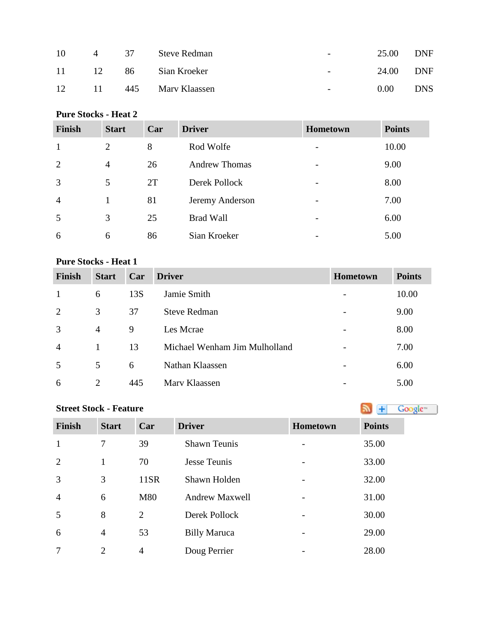| 10 | $\sim$ 4 | 37 | Steve Redman      | $\overline{\phantom{0}}$ | 25.00 | <b>DNF</b> |
|----|----------|----|-------------------|--------------------------|-------|------------|
| 11 | 12       | 86 | Sian Kroeker      | $\overline{\phantom{a}}$ | 24.00 | DNF        |
| 12 | 11       |    | 445 Mary Klaassen | $\overline{\phantom{0}}$ | 0.00  | <b>DNS</b> |

#### **Pure Stocks - Heat 2**

| <b>Finish</b>  | <b>Start</b>   | Car | <b>Driver</b>        | <b>Hometown</b> | <b>Points</b> |
|----------------|----------------|-----|----------------------|-----------------|---------------|
| -1             | $\overline{2}$ | 8   | Rod Wolfe            |                 | 10.00         |
| 2              | $\overline{4}$ | 26  | <b>Andrew Thomas</b> |                 | 9.00          |
| 3              | 5              | 2T  | Derek Pollock        |                 | 8.00          |
| $\overline{4}$ |                | 81  | Jeremy Anderson      |                 | 7.00          |
| 5              | 3              | 25  | <b>Brad Wall</b>     |                 | 6.00          |
| 6              | 6              | 86  | Sian Kroeker         |                 | 5.00          |

#### **Pure Stocks - Heat 1**

| <b>Finish</b>  | <b>Start</b>   | Car | <b>Driver</b>                 | <b>Hometown</b> | <b>Points</b> |
|----------------|----------------|-----|-------------------------------|-----------------|---------------|
|                | 6              | 13S | Jamie Smith                   |                 | 10.00         |
| 2              | 3              | 37  | <b>Steve Redman</b>           |                 | 9.00          |
| 3              | $\overline{4}$ | 9   | Les Mcrae                     |                 | 8.00          |
| $\overline{4}$ | 1              | 13  | Michael Wenham Jim Mulholland |                 | 7.00          |
| .5             | 5              | 6   | Nathan Klaassen               |                 | 6.00          |
| 6              | 2              | 445 | Mary Klaassen                 |                 | 5.00          |

## **StreetStock - Feature Street Stock - Feature**

| Finish         | <b>Start</b>   | Car            | <b>Driver</b>         | Hometown                     | <b>Points</b> |
|----------------|----------------|----------------|-----------------------|------------------------------|---------------|
| $\mathbf{1}$   | 7              | 39             | <b>Shawn Teunis</b>   |                              | 35.00         |
| $\overline{2}$ | $\mathbf{1}$   | 70             | Jesse Teunis          | $\overline{\phantom{a}}$     | 33.00         |
| 3              | 3              | 11SR           | Shawn Holden          | $\overline{\phantom{a}}$     | 32.00         |
| $\overline{4}$ | 6              | M80            | <b>Andrew Maxwell</b> | $\overline{\phantom{a}}$     | 31.00         |
| 5              | 8              | 2              | Derek Pollock         | $\qquad \qquad \blacksquare$ | 30.00         |
| 6              | $\overline{4}$ | 53             | <b>Billy Maruca</b>   | $\overline{\phantom{a}}$     | 29.00         |
| 7              | $\overline{2}$ | $\overline{4}$ | Doug Perrier          |                              | 28.00         |